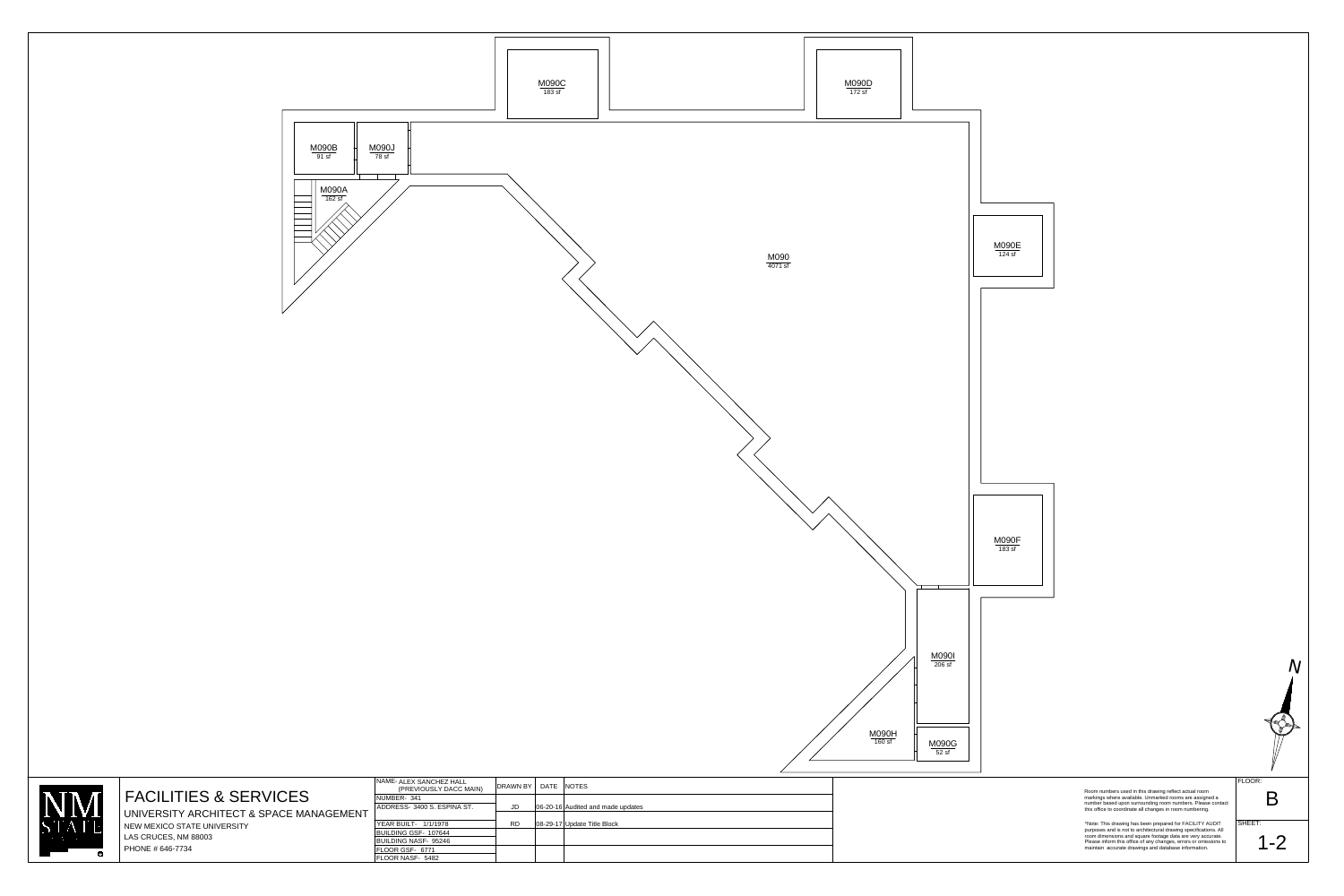